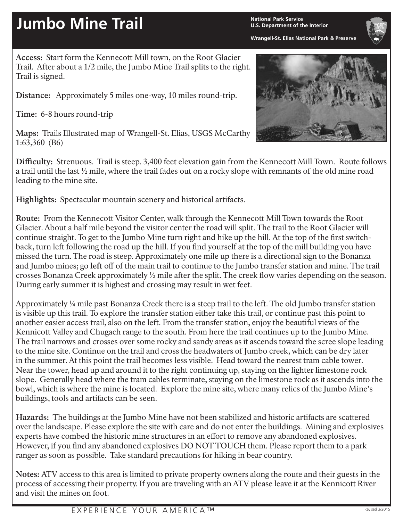## **Jumbo Mine Trail National Park Service**

**U.S. Department of the Interior**

**Wrangell-St. Elias National Park & Preserve**

**Access:** Start form the Kennecott Mill town, on the Root Glacier Trail. After about a 1/2 mile, the Jumbo Mine Trail splits to the right. Trail is signed.

**Distance:** Approximately 5 miles one-way, 10 miles round-trip.

**Time:** 6-8 hours round-trip

**Maps:** Trails Illustrated map of Wrangell-St. Elias, USGS McCarthy 1:63,360 (B6)



**Difficulty:** Strenuous. Trail is steep. 3,400 feet elevation gain from the Kennecott Mill Town. Route follows a trail until the last ½ mile, where the trail fades out on a rocky slope with remnants of the old mine road leading to the mine site.

**Highlights:** Spectacular mountain scenery and historical artifacts.

**Route:** From the Kennecott Visitor Center, walk through the Kennecott Mill Town towards the Root Glacier. About a half mile beyond the visitor center the road will split. The trail to the Root Glacier will continue straight. To get to the Jumbo Mine turn right and hike up the hill. At the top of the first switchback, turn left following the road up the hill. If you find yourself at the top of the mill building you have missed the turn. The road is steep. Approximately one mile up there is a directional sign to the Bonanza and Jumbo mines; go **left** off of the main trail to continue to the Jumbo transfer station and mine. The trail crosses Bonanza Creek approximately ½ mile after the split. The creek flow varies depending on the season. During early summer it is highest and crossing may result in wet feet.

Approximately ¼ mile past Bonanza Creek there is a steep trail to the left. The old Jumbo transfer station is visible up this trail. To explore the transfer station either take this trail, or continue past this point to another easier access trail, also on the left. From the transfer station, enjoy the beautiful views of the Kennicott Valley and Chugach range to the south. From here the trail continues up to the Jumbo Mine. The trail narrows and crosses over some rocky and sandy areas as it ascends toward the scree slope leading to the mine site. Continue on the trail and cross the headwaters of Jumbo creek, which can be dry later in the summer. At this point the trail becomes less visible. Head toward the nearest tram cable tower. Near the tower, head up and around it to the right continuing up, staying on the lighter limestone rock slope. Generally head where the tram cables terminate, staying on the limestone rock as it ascends into the bowl, which is where the mine is located. Explore the mine site, where many relics of the Jumbo Mine's buildings, tools and artifacts can be seen.

**Hazards:** The buildings at the Jumbo Mine have not been stabilized and historic artifacts are scattered over the landscape. Please explore the site with care and do not enter the buildings. Mining and explosives experts have combed the historic mine structures in an effort to remove any abandoned explosives. However, if you find any abandoned explosives DO NOT TOUCH them. Please report them to a park ranger as soon as possible. Take standard precautions for hiking in bear country.

**Notes:** ATV access to this area is limited to private property owners along the route and their guests in the process of accessing their property. If you are traveling with an ATV please leave it at the Kennicott River and visit the mines on foot.